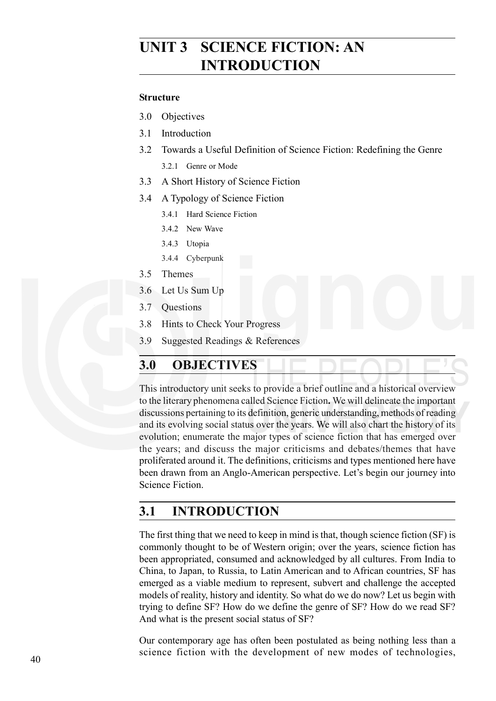# **UNIT 3 SCIENCE FICTION: AN INTRODUCTION**

#### **Structure**

- 3.0 Objectives
- 3.1 Introduction
- 3.2 Towards a Useful Definition of Science Fiction: Redefining the Genre
	- 3.2.1 Genre or Mode
- 3.3 A Short History of Science Fiction
- 3.4 A Typology of Science Fiction
	- 3.4.1 Hard Science Fiction
	- 3.4.2 New Wave
	- 3.4.3 Utopia
	- 3.4.4 Cyberpunk
- 3.5 Themes
- 3.6 Let Us Sum Up
- 3.7 Questions
- 3.8 Hints to Check Your Progress
- 3.9 Suggested Readings & References

## **3.0 OBJECTIVES**

This introductory unit seeks to provide a brief outline and a historical overview to the literary phenomena called Science Fiction**.** We will delineate the important discussions pertaining to its definition, generic understanding, methods of reading and its evolving social status over the years. We will also chart the history of its evolution; enumerate the major types of science fiction that has emerged over the years; and discuss the major criticisms and debates/themes that have proliferated around it. The definitions, criticisms and types mentioned here have been drawn from an Anglo-American perspective. Let's begin our journey into Science Fiction.

# **3.1 INTRODUCTION**

The first thing that we need to keep in mind is that, though science fiction (SF) is commonly thought to be of Western origin; over the years, science fiction has been appropriated, consumed and acknowledged by all cultures. From India to China, to Japan, to Russia, to Latin American and to African countries, SF has emerged as a viable medium to represent, subvert and challenge the accepted models of reality, history and identity. So what do we do now? Let us begin with trying to define SF? How do we define the genre of SF? How do we read SF? And what is the present social status of SF?

Our contemporary age has often been postulated as being nothing less than a science fiction with the development of new modes of technologies,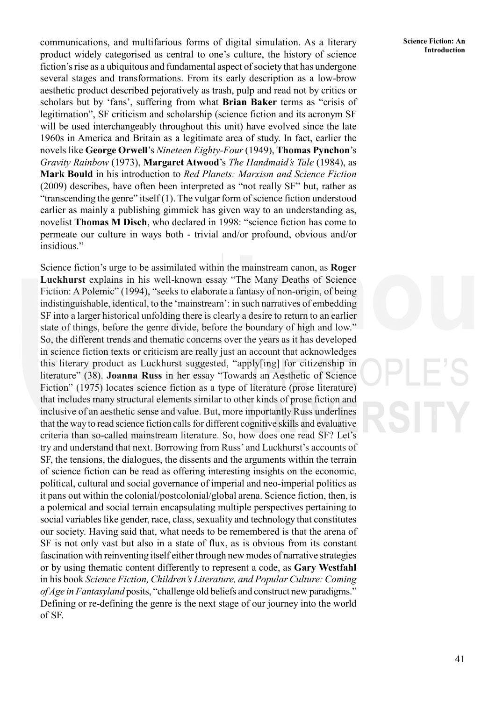**Introduction** communications, and multifarious forms of digital simulation. As a literary **Science Fiction: An** product widely categorised as central to one's culture, the history of science fiction's rise as a ubiquitous and fundamental aspect of society that has undergone several stages and transformations. From its early description as a low-brow aesthetic product described pejoratively as trash, pulp and read not by critics or scholars but by 'fans', suffering from what **Brian Baker** terms as "crisis of legitimation", SF criticism and scholarship (science fiction and its acronym SF will be used interchangeably throughout this unit) have evolved since the late 1960s in America and Britain as a legitimate area of study. In fact, earlier the novels like **George Orwell**'s *Nineteen Eighty-Four* (1949), **Thomas Pynchon**'s *Gravity Rainbow* (1973), **Margaret Atwood**'s *The Handmaid's Tale* (1984), as **Mark Bould** in his introduction to *Red Planets: Marxism and Science Fiction* (2009) describes, have often been interpreted as "not really SF" but, rather as "transcending the genre" itself  $(1)$ . The vulgar form of science fiction understood earlier as mainly a publishing gimmick has given way to an understanding as, novelist **Thomas M Disch**, who declared in 1998: "science fiction has come to permeate our culture in ways both - trivial and/or profound, obvious and/or insidious."

Science fiction's urge to be assimilated within the mainstream canon, as **Roger Luckhurst** explains in his well-known essay "The Many Deaths of Science Fiction: A Polemic" (1994), "seeks to elaborate a fantasy of non-origin, of being indistinguishable, identical, to the 'mainstream': in such narratives of embedding SF into a larger historical unfolding there is clearly a desire to return to an earlier state of things, before the genre divide, before the boundary of high and low." So, the different trends and thematic concerns over the years as it has developed in science fiction texts or criticism are really just an account that acknowledges this literary product as Luckhurst suggested, "apply[ing] for citizenship in literature" (38). **Joanna Russ** in her essay "Towards an Aesthetic of Science Fiction" (1975) locates science fiction as a type of literature (prose literature) that includes many structural elements similar to other kinds of prose fiction and inclusive of an aesthetic sense and value. But, more importantly Russ underlines that the way to read science fiction calls for different cognitive skills and evaluative criteria than so-called mainstream literature. So, how does one read SF? Let's try and understand that next. Borrowing from Russ' and Luckhurst's accounts of SF, the tensions, the dialogues, the dissents and the arguments within the terrain of science fiction can be read as offering interesting insights on the economic, political, cultural and social governance of imperial and neo-imperial politics as it pans out within the colonial/postcolonial/global arena. Science fiction, then, is a polemical and social terrain encapsulating multiple perspectives pertaining to social variables like gender, race, class, sexuality and technology that constitutes our society. Having said that, what needs to be remembered is that the arena of SF is not only vast but also in a state of flux, as is obvious from its constant fascination with reinventing itself either through new modes of narrative strategies or by using thematic content differently to represent a code, as **Gary Westfahl** in his book *Science Fiction, Children's Literature, and Popular Culture: Coming of Age in Fantasyland* posits, "challenge old beliefs and construct new paradigms." Defining or re-defining the genre is the next stage of our journey into the world of SF.

**Science Fiction: An**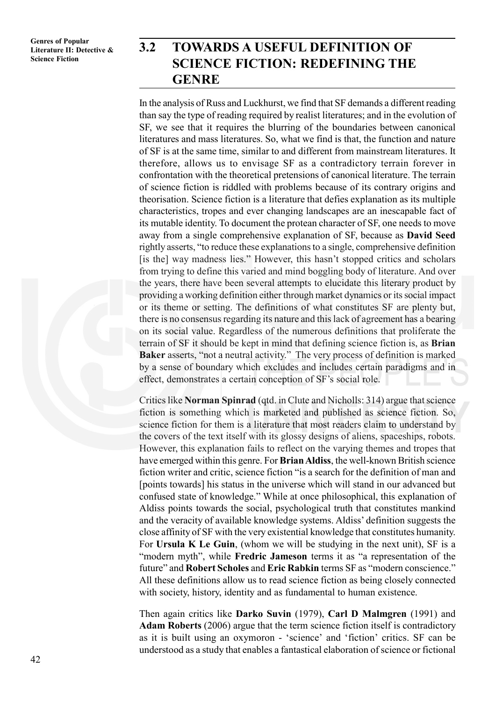# **3.2 TOWARDS A USEFUL DEFINITION OF SCIENCE FICTION: REDEFINING THE GENRE**

In the analysis of Russ and Luckhurst, we find that SF demands a different reading than say the type of reading required by realist literatures; and in the evolution of SF, we see that it requires the blurring of the boundaries between canonical literatures and mass literatures. So, what we find is that, the function and nature of SF is at the same time, similar to and different from mainstream literatures. It therefore, allows us to envisage SF as a contradictory terrain forever in confrontation with the theoretical pretensions of canonical literature. The terrain of science fiction is riddled with problems because of its contrary origins and theorisation. Science fiction is a literature that defies explanation as its multiple characteristics, tropes and ever changing landscapes are an inescapable fact of its mutable identity. To document the protean character of SF, one needs to move away from a single comprehensive explanation of SF, because as **David Seed** rightly asserts, "to reduce these explanations to a single, comprehensive definition [is the] way madness lies." However, this hasn't stopped critics and scholars from trying to define this varied and mind boggling body of literature. And over the years, there have been several attempts to elucidate this literary product by providing a working definition either through market dynamics or its social impact or its theme or setting. The definitions of what constitutes SF are plenty but, there is no consensus regarding its nature and this lack of agreement has a bearing on its social value. Regardless of the numerous definitions that proliferate the terrain of SF it should be kept in mind that defining science fiction is, as **Brian Baker** asserts, "not a neutral activity." The very process of definition is marked by a sense of boundary which excludes and includes certain paradigms and in effect, demonstrates a certain conception of SF's social role.

Critics like **Norman Spinrad** (qtd. in Clute and Nicholls: 314) argue that science fiction is something which is marketed and published as science fiction. So, science fiction for them is a literature that most readers claim to understand by the covers of the text itself with its glossy designs of aliens, spaceships, robots. However, this explanation fails to reflect on the varying themes and tropes that have emerged within this genre. For **Brian Aldiss**, the well-known British science fiction writer and critic, science fiction "is a search for the definition of man and [points towards] his status in the universe which will stand in our advanced but confused state of knowledge." While at once philosophical, this explanation of Aldiss points towards the social, psychological truth that constitutes mankind and the veracity of available knowledge systems. Aldiss' definition suggests the close affinity of SF with the very existential knowledge that constitutes humanity. For **Ursula K Le Guin**, (whom we will be studying in the next unit), SF is a "modern myth", while **Fredric Jameson** terms it as "a representation of the future" and **Robert Scholes** and **Eric Rabkin** terms SF as "modern conscience." All these definitions allow us to read science fiction as being closely connected with society, history, identity and as fundamental to human existence.

Then again critics like **Darko Suvin** (1979), **Carl D Malmgren** (1991) and **Adam Roberts** (2006) argue that the term science fiction itself is contradictory as it is built using an oxymoron - 'science' and 'fiction' critics. SF can be understood as a study that enables a fantastical elaboration of science or fictional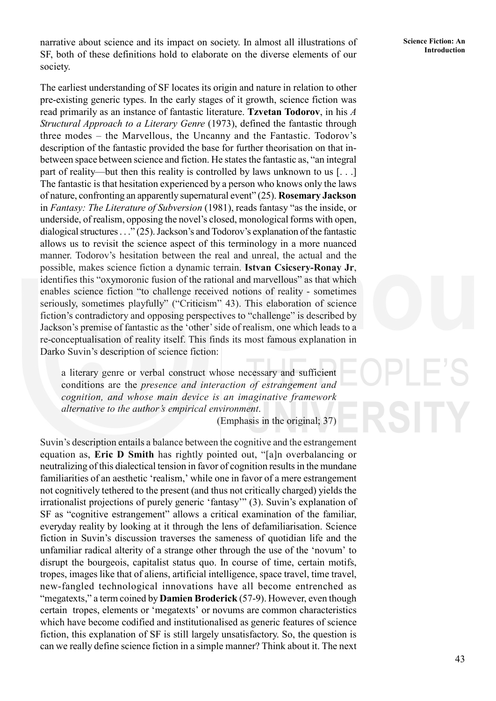**Introduction** narrative about science and its impact on society. In almost all illustrations of Science Fiction: An SF, both of these definitions hold to elaborate on the diverse elements of our society.

The earliest understanding of SF locates its origin and nature in relation to other pre-existing generic types. In the early stages of it growth, science fiction was read primarily as an instance of fantastic literature. **Tzvetan Todorov**, in his *A Structural Approach to a Literary Genre* (1973), defined the fantastic through three modes – the Marvellous, the Uncanny and the Fantastic. Todorov's description of the fantastic provided the base for further theorisation on that inbetween space between science and fiction. He states the fantastic as, "an integral part of reality—but then this reality is controlled by laws unknown to us [. . .] The fantastic is that hesitation experienced by a person who knows only the laws of nature, confronting an apparently supernatural event" (25). **Rosemary Jackson** in *Fantasy: The Literature of Subversion* (1981), reads fantasy "as the inside, or underside, of realism, opposing the novel's closed, monological forms with open, dialogical structures . . ." (25). Jackson's and Todorov's explanation of the fantastic allows us to revisit the science aspect of this terminology in a more nuanced manner. Todorov's hesitation between the real and unreal, the actual and the possible, makes science fiction a dynamic terrain. **Istvan Csicsery-Ronay Jr**, identifies this "oxymoronic fusion of the rational and marvellous" as that which enables science fiction "to challenge received notions of reality - sometimes seriously, sometimes playfully" ("Criticism" 43). This elaboration of science fiction's contradictory and opposing perspectives to "challenge" is described by Jackson's premise of fantastic as the 'other' side of realism, one which leads to a re-conceptualisation of reality itself. This finds its most famous explanation in Darko Suvin's description of science fiction:

a literary genre or verbal construct whose necessary and sufficient conditions are the *presence and interaction of estrangement and cognition, and whose main device is an imaginative framework alternative to the author's empirical environment*.

(Emphasis in the original; 37)

Suvin's description entails a balance between the cognitive and the estrangement equation as, **Eric D Smith** has rightly pointed out, "[a]n overbalancing or neutralizing of this dialectical tension in favor of cognition results in the mundane familiarities of an aesthetic 'realism,' while one in favor of a mere estrangement not cognitively tethered to the present (and thus not critically charged) yields the irrationalist projections of purely generic 'fantasy'" (3). Suvin's explanation of SF as "cognitive estrangement" allows a critical examination of the familiar, everyday reality by looking at it through the lens of defamiliarisation. Science fiction in Suvin's discussion traverses the sameness of quotidian life and the unfamiliar radical alterity of a strange other through the use of the 'novum' to disrupt the bourgeois, capitalist status quo. In course of time, certain motifs, tropes, images like that of aliens, artificial intelligence, space travel, time travel, new-fangled technological innovations have all become entrenched as "megatexts," a term coined by **Damien Broderick** (57-9). However, even though certain tropes, elements or 'megatexts' or novums are common characteristics which have become codified and institutionalised as generic features of science fiction, this explanation of SF is still largely unsatisfactory. So, the question is can we really define science fiction in a simple manner? Think about it. The next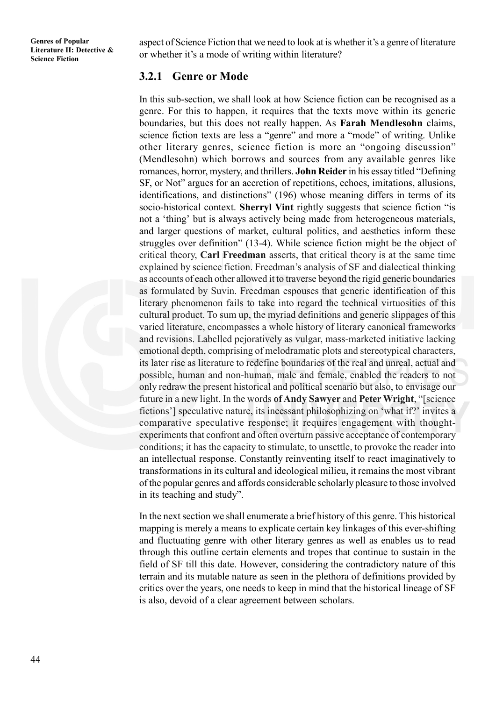aspect of Science Fiction that we need to look at is whether it's a genre of literature or whether it's a mode of writing within literature?

#### **3.2.1 Genre or Mode**

In this sub-section, we shall look at how Science fiction can be recognised as a genre. For this to happen, it requires that the texts move within its generic boundaries, but this does not really happen. As **Farah Mendlesohn** claims, science fiction texts are less a "genre" and more a "mode" of writing. Unlike other literary genres, science fiction is more an "ongoing discussion" (Mendlesohn) which borrows and sources from any available genres like romances, horror, mystery, and thrillers. **John Reider** in his essay titled "Defining SF, or Not" argues for an accretion of repetitions, echoes, imitations, allusions, identifications, and distinctions" (196) whose meaning differs in terms of its socio-historical context. **Sherryl Vint** rightly suggests that science fiction "is not a 'thing' but is always actively being made from heterogeneous materials, and larger questions of market, cultural politics, and aesthetics inform these struggles over definition" (13-4). While science fiction might be the object of critical theory, **Carl Freedman** asserts, that critical theory is at the same time explained by science fiction. Freedman's analysis of SF and dialectical thinking as accounts of each other allowed it to traverse beyond the rigid generic boundaries as formulated by Suvin. Freedman espouses that generic identification of this literary phenomenon fails to take into regard the technical virtuosities of this cultural product. To sum up, the myriad definitions and generic slippages of this varied literature, encompasses a whole history of literary canonical frameworks and revisions. Labelled pejoratively as vulgar, mass-marketed initiative lacking emotional depth, comprising of melodramatic plots and stereotypical characters, its later rise as literature to redefine boundaries of the real and unreal, actual and possible, human and non-human, male and female, enabled the readers to not only redraw the present historical and political scenario but also, to envisage our future in a new light. In the words **of Andy Sawyer** and **Peter Wright**, "[science fictions'] speculative nature, its incessant philosophizing on 'what if?' invites a comparative speculative response; it requires engagement with thoughtexperiments that confront and often overturn passive acceptance of contemporary conditions; it has the capacity to stimulate, to unsettle, to provoke the reader into an intellectual response. Constantly reinventing itself to react imaginatively to transformations in its cultural and ideological milieu, it remains the most vibrant of the popular genres and affords considerable scholarly pleasure to those involved in its teaching and study".

In the next section we shall enumerate a brief history of this genre. This historical mapping is merely a means to explicate certain key linkages of this ever-shifting and fluctuating genre with other literary genres as well as enables us to read through this outline certain elements and tropes that continue to sustain in the field of SF till this date. However, considering the contradictory nature of this terrain and its mutable nature as seen in the plethora of definitions provided by critics over the years, one needs to keep in mind that the historical lineage of SF is also, devoid of a clear agreement between scholars.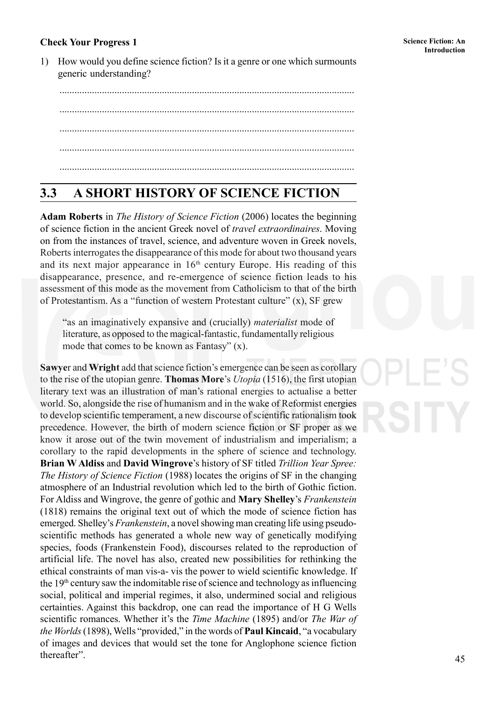# **Introduction: An Interaction: An Interaction: An Interaction: An Interaction: An Interaction: An Interaction: An**

1) How would you define science fiction? Is it a genre or one which surmounts generic understanding?

...................................................................................................................... ...................................................................................................................... ...................................................................................................................... ...................................................................................................................... ......................................................................................................................

# **3.3 A SHORT HISTORY OF SCIENCE FICTION**

**Adam Roberts** in *The History of Science Fiction* (2006) locates the beginning of science fiction in the ancient Greek novel of *travel extraordinaires*. Moving on from the instances of travel, science, and adventure woven in Greek novels, Roberts interrogates the disappearance of this mode for about two thousand years and its next major appearance in  $16<sup>th</sup>$  century Europe. His reading of this disappearance, presence, and re-emergence of science fiction leads to his assessment of this mode as the movement from Catholicism to that of the birth of Protestantism. As a "function of western Protestant culture" (x), SF grew

"as an imaginatively expansive and (crucially) *materialist* mode of literature, as opposed to the magical-fantastic, fundamentally religious mode that comes to be known as Fantasy" (x).

**Sawye**r and **Wright** add that science fiction's emergence can be seen as corollary to the rise of the utopian genre. **Thomas More**'s *Utopia* (1516), the first utopian literary text was an illustration of man's rational energies to actualise a better world. So, alongside the rise of humanism and in the wake of Reformist energies to develop scientific temperament, a new discourse of scientific rationalism took precedence. However, the birth of modern science fiction or SF proper as we know it arose out of the twin movement of industrialism and imperialism; a corollary to the rapid developments in the sphere of science and technology. **Brian W Aldiss** and **David Wingrove**'s history of SF titled *Trillion Year Spree: The History of Science Fiction* (1988) locates the origins of SF in the changing atmosphere of an Industrial revolution which led to the birth of Gothic fiction. For Aldiss and Wingrove, the genre of gothic and **Mary Shelley**'s *Frankenstein* (1818) remains the original text out of which the mode of science fiction has emerged. Shelley's *Frankenstein*, a novel showing man creating life using pseudoscientific methods has generated a whole new way of genetically modifying species, foods (Frankenstein Food), discourses related to the reproduction of artificial life. The novel has also, created new possibilities for rethinking the ethical constraints of man vis-a- vis the power to wield scientific knowledge. If the 19th century saw the indomitable rise of science and technology as influencing social, political and imperial regimes, it also, undermined social and religious certainties. Against this backdrop, one can read the importance of H G Wells scientific romances. Whether it's the *Time Machine* (1895) and/or *The War of the Worlds* (1898), Wells "provided," in the words of **Paul Kincaid**, "a vocabulary of images and devices that would set the tone for Anglophone science fiction thereafter".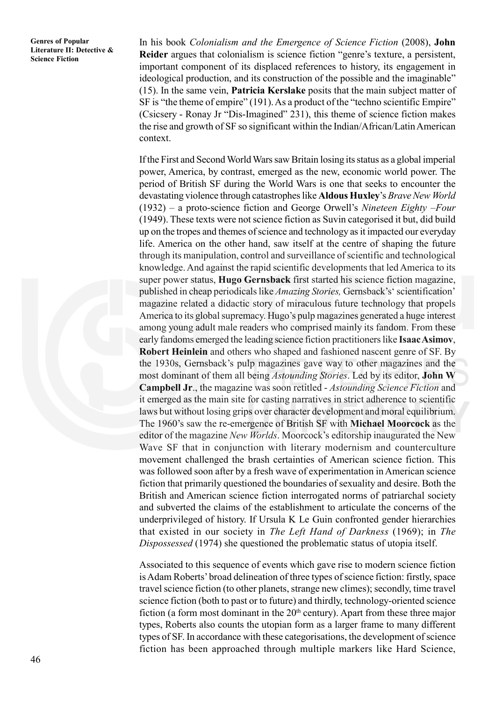**Genres of Popular Literature II: Detective & Science Fiction**

In his book *Colonialism and the Emergence of Science Fiction* (2008), **John Reider** argues that colonialism is science fiction "genre's texture, a persistent, important component of its displaced references to history, its engagement in ideological production, and its construction of the possible and the imaginable" (15). In the same vein, **Patricia Kerslake** posits that the main subject matter of SF is "the theme of empire" (191). As a product of the "techno scientific Empire" (Csicsery - Ronay Jr "Dis-Imagined" 231), this theme of science fiction makes the rise and growth of SF so significant within the Indian/African/Latin American context.

If the First and Second World Wars saw Britain losing its status as a global imperial power, America, by contrast, emerged as the new, economic world power. The period of British SF during the World Wars is one that seeks to encounter the devastating violence through catastrophes like **Aldous Huxley**'s *Brave New World* (1932) – a proto-science fiction and George Orwell's *Nineteen Eighty –Four* (1949). These texts were not science fiction as Suvin categorised it but, did build up on the tropes and themes of science and technology as it impacted our everyday life. America on the other hand, saw itself at the centre of shaping the future through its manipulation, control and surveillance of scientific and technological knowledge. And against the rapid scientific developments that led America to its super power status, **Hugo Gernsback** first started his science fiction magazine, published in cheap periodicals like *Amazing Stories,* Gernsback's' scientification' magazine related a didactic story of miraculous future technology that propels America to its global supremacy. Hugo's pulp magazines generated a huge interest among young adult male readers who comprised mainly its fandom. From these early fandoms emerged the leading science fiction practitioners like **Isaac Asimov**, **Robert Heinlein** and others who shaped and fashioned nascent genre of SF. By the 1930s, Gernsback's pulp magazines gave way to other magazines and the most dominant of them all being *Astounding Stories*. Led by its editor, **John W Campbell Jr**., the magazine was soon retitled - *Astounding Science Fiction* and it emerged as the main site for casting narratives in strict adherence to scientific laws but without losing grips over character development and moral equilibrium. The 1960's saw the re-emergence of British SF with **Michael Moorcock** as the editor of the magazine *New Worlds*. Moorcock's editorship inaugurated the New Wave SF that in conjunction with literary modernism and counterculture movement challenged the brash certainties of American science fiction. This was followed soon after by a fresh wave of experimentation in American science fiction that primarily questioned the boundaries of sexuality and desire. Both the British and American science fiction interrogated norms of patriarchal society and subverted the claims of the establishment to articulate the concerns of the underprivileged of history. If Ursula K Le Guin confronted gender hierarchies that existed in our society in *The Left Hand of Darkness* (1969); in *The Dispossessed* (1974) she questioned the problematic status of utopia itself.

Associated to this sequence of events which gave rise to modern science fiction is Adam Roberts' broad delineation of three types of science fiction: firstly, space travel science fiction (to other planets, strange new climes); secondly, time travel science fiction (both to past or to future) and thirdly, technology-oriented science fiction (a form most dominant in the  $20<sup>th</sup>$  century). Apart from these three major types, Roberts also counts the utopian form as a larger frame to many different types of SF. In accordance with these categorisations, the development of science fiction has been approached through multiple markers like Hard Science,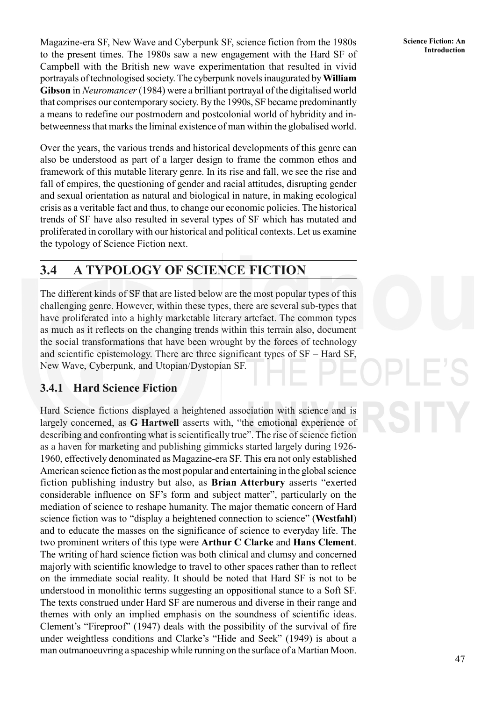**Introduction** Magazine-era SF, New Wave and Cyberpunk SF, science fiction from the 1980s Science Fiction: An to the present times. The 1980s saw a new engagement with the Hard SF of Campbell with the British new wave experimentation that resulted in vivid portrayals of technologised society. The cyberpunk novels inaugurated by **William Gibson** in *Neuromancer* (1984) were a brilliant portrayal of the digitalised world that comprises our contemporary society. By the 1990s, SF became predominantly a means to redefine our postmodern and postcolonial world of hybridity and inbetweenness that marks the liminal existence of man within the globalised world.

Over the years, the various trends and historical developments of this genre can also be understood as part of a larger design to frame the common ethos and framework of this mutable literary genre. In its rise and fall, we see the rise and fall of empires, the questioning of gender and racial attitudes, disrupting gender and sexual orientation as natural and biological in nature, in making ecological crisis as a veritable fact and thus, to change our economic policies. The historical trends of SF have also resulted in several types of SF which has mutated and proliferated in corollary with our historical and political contexts. Let us examine the typology of Science Fiction next.

# **3.4 A TYPOLOGY OF SCIENCE FICTION**

The different kinds of SF that are listed below are the most popular types of this challenging genre. However, within these types, there are several sub-types that have proliferated into a highly marketable literary artefact. The common types as much as it reflects on the changing trends within this terrain also, document the social transformations that have been wrought by the forces of technology and scientific epistemology. There are three significant types of SF – Hard SF, New Wave, Cyberpunk, and Utopian/Dystopian SF.

### **3.4.1 Hard Science Fiction**

Hard Science fictions displayed a heightened association with science and is largely concerned, as **G Hartwell** asserts with, "the emotional experience of describing and confronting what is scientifically true". The rise of science fiction as a haven for marketing and publishing gimmicks started largely during 1926- 1960, effectively denominated as Magazine-era SF. This era not only established American science fiction as the most popular and entertaining in the global science fiction publishing industry but also, as **Brian Atterbury** asserts "exerted considerable influence on SF's form and subject matter", particularly on the mediation of science to reshape humanity. The major thematic concern of Hard science fiction was to "display a heightened connection to science" (**Westfahl**) and to educate the masses on the significance of science to everyday life. The two prominent writers of this type were **Arthur C Clarke** and **Hans Clement**. The writing of hard science fiction was both clinical and clumsy and concerned majorly with scientific knowledge to travel to other spaces rather than to reflect on the immediate social reality. It should be noted that Hard SF is not to be understood in monolithic terms suggesting an oppositional stance to a Soft SF. The texts construed under Hard SF are numerous and diverse in their range and themes with only an implied emphasis on the soundness of scientific ideas. Clement's "Fireproof" (1947) deals with the possibility of the survival of fire under weightless conditions and Clarke's "Hide and Seek" (1949) is about a man outmanoeuvring a spaceship while running on the surface of a Martian Moon.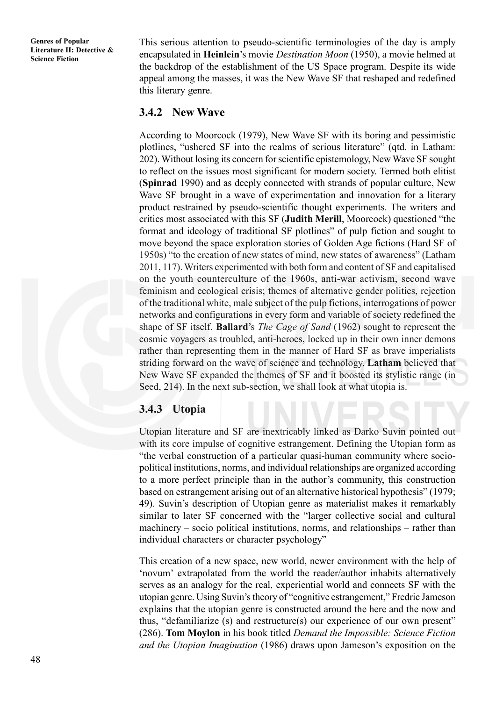This serious attention to pseudo-scientific terminologies of the day is amply encapsulated in **Heinlein**'s movie *Destination Moon* (1950), a movie helmed at the backdrop of the establishment of the US Space program. Despite its wide appeal among the masses, it was the New Wave SF that reshaped and redefined this literary genre.

#### **3.4.2 New Wave**

According to Moorcock (1979), New Wave SF with its boring and pessimistic plotlines, "ushered SF into the realms of serious literature" (qtd. in Latham: 202). Without losing its concern for scientific epistemology, New Wave SF sought to reflect on the issues most significant for modern society. Termed both elitist (**Spinrad** 1990) and as deeply connected with strands of popular culture, New Wave SF brought in a wave of experimentation and innovation for a literary product restrained by pseudo-scientific thought experiments. The writers and critics most associated with this SF (**Judith Merill**, Moorcock) questioned "the format and ideology of traditional SF plotlines" of pulp fiction and sought to move beyond the space exploration stories of Golden Age fictions (Hard SF of 1950s) "to the creation of new states of mind, new states of awareness" (Latham 2011, 117). Writers experimented with both form and content of SF and capitalised on the youth counterculture of the 1960s, anti-war activism, second wave feminism and ecological crisis; themes of alternative gender politics, rejection of the traditional white, male subject of the pulp fictions, interrogations of power networks and configurations in every form and variable of society redefined the shape of SF itself. **Ballard**'s *The Cage of Sand* (1962) sought to represent the cosmic voyagers as troubled, anti-heroes, locked up in their own inner demons rather than representing them in the manner of Hard SF as brave imperialists striding forward on the wave of science and technology. **Latham** believed that New Wave SF expanded the themes of SF and it boosted its stylistic range (in Seed, 214). In the next sub-section, we shall look at what utopia is.

#### **3.4.3 Utopia**

Utopian literature and SF are inextricably linked as Darko Suvin pointed out with its core impulse of cognitive estrangement. Defining the Utopian form as "the verbal construction of a particular quasi-human community where sociopolitical institutions, norms, and individual relationships are organized according to a more perfect principle than in the author's community, this construction based on estrangement arising out of an alternative historical hypothesis" (1979; 49). Suvin's description of Utopian genre as materialist makes it remarkably similar to later SF concerned with the "larger collective social and cultural machinery – socio political institutions, norms, and relationships – rather than individual characters or character psychology"

This creation of a new space, new world, newer environment with the help of 'novum' extrapolated from the world the reader/author inhabits alternatively serves as an analogy for the real, experiential world and connects SF with the utopian genre. Using Suvin's theory of "cognitive estrangement," Fredric Jameson explains that the utopian genre is constructed around the here and the now and thus, "defamiliarize (s) and restructure(s) our experience of our own present" (286). **Tom Moylon** in his book titled *Demand the Impossible: Science Fiction and the Utopian Imagination* (1986) draws upon Jameson's exposition on the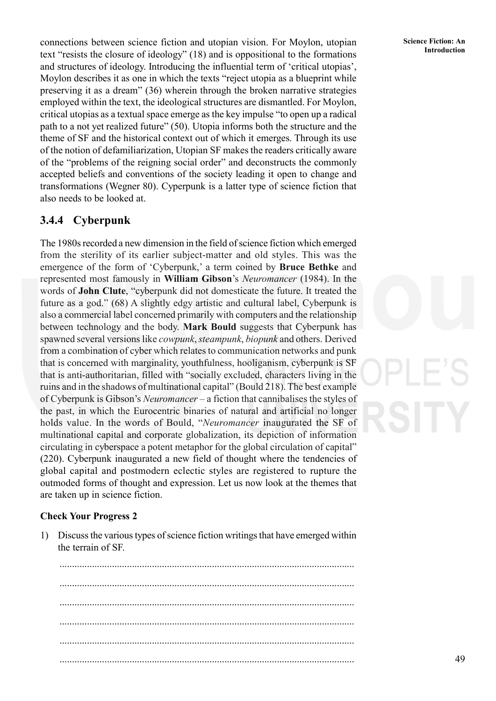connections between science fiction and utopian vision. For Moylon, utopian text "resists the closure of ideology" (18) and is oppositional to the formations and structures of ideology. Introducing the influential term of 'critical utopias', Moylon describes it as one in which the texts "reject utopia as a blueprint while preserving it as a dream" (36) wherein through the broken narrative strategies employed within the text, the ideological structures are dismantled. For Moylon, critical utopias as a textual space emerge as the key impulse "to open up a radical path to a not yet realized future" (50). Utopia informs both the structure and the theme of SF and the historical context out of which it emerges. Through its use of the notion of defamiliarization, Utopian SF makes the readers critically aware of the "problems of the reigning social order" and deconstructs the commonly accepted beliefs and conventions of the society leading it open to change and transformations (Wegner 80). Cyperpunk is a latter type of science fiction that also needs to be looked at.

## **3.4.4 Cyberpunk**

The 1980s recorded a new dimension in the field of science fiction which emerged from the sterility of its earlier subject-matter and old styles. This was the emergence of the form of 'Cyberpunk,' a term coined by **Bruce Bethke** and represented most famously in **William Gibson**'s *Neuromancer* (1984). In the words of **John Clute**, "cyberpunk did not domesticate the future. It treated the future as a god." (68) A slightly edgy artistic and cultural label, Cyberpunk is also a commercial label concerned primarily with computers and the relationship between technology and the body. **Mark Bould** suggests that Cyberpunk has spawned several versions like *cowpunk*, *steampunk*, *biopunk* and others. Derived from a combination of cyber which relates to communication networks and punk that is concerned with marginality, youthfulness, hooliganism, cyberpunk is SF that is anti-authoritarian, filled with "socially excluded, characters living in the ruins and in the shadows of multinational capital" (Bould 218). The best example of Cyberpunk is Gibson's *Neuromancer* – a fiction that cannibalises the styles of the past, in which the Eurocentric binaries of natural and artificial no longer holds value. In the words of Bould, "*Neuromancer* inaugurated the SF of multinational capital and corporate globalization, its depiction of information circulating in cyberspace a potent metaphor for the global circulation of capital" (220). Cyberpunk inaugurated a new field of thought where the tendencies of global capital and postmodern eclectic styles are registered to rupture the outmoded forms of thought and expression. Let us now look at the themes that are taken up in science fiction.

#### **Check Your Progress 2**

1) Discuss the various types of science fiction writings that have emerged within the terrain of SF.

...................................................................................................................... ...................................................................................................................... ...................................................................................................................... ...................................................................................................................... ......................................................................................................................

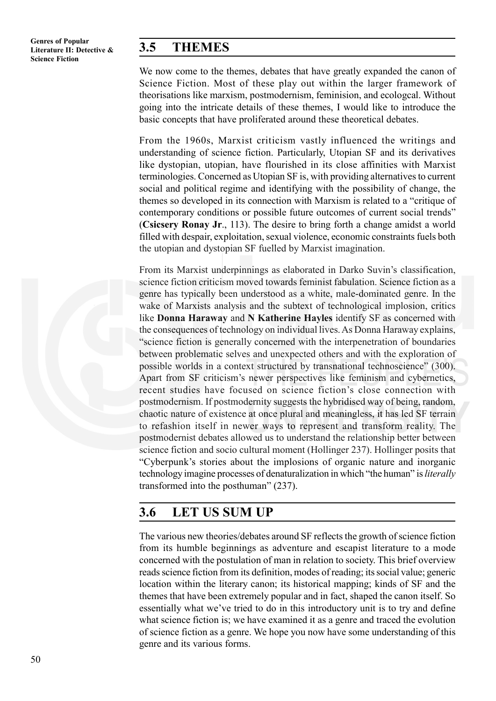# **3.5 THEMES**

We now come to the themes, debates that have greatly expanded the canon of Science Fiction. Most of these play out within the larger framework of theorisations like marxism, postmodernism, feminision, and ecologcal. Without going into the intricate details of these themes, I would like to introduce the basic concepts that have proliferated around these theoretical debates.

From the 1960s, Marxist criticism vastly influenced the writings and understanding of science fiction. Particularly, Utopian SF and its derivatives like dystopian, utopian, have flourished in its close affinities with Marxist terminologies. Concerned as Utopian SF is, with providing alternatives to current social and political regime and identifying with the possibility of change, the themes so developed in its connection with Marxism is related to a "critique of contemporary conditions or possible future outcomes of current social trends" (**Csicsery Ronay Jr**., 113). The desire to bring forth a change amidst a world filled with despair, exploitation, sexual violence, economic constraints fuels both the utopian and dystopian SF fuelled by Marxist imagination.

From its Marxist underpinnings as elaborated in Darko Suvin's classification, science fiction criticism moved towards feminist fabulation. Science fiction as a genre has typically been understood as a white, male-dominated genre. In the wake of Marxists analysis and the subtext of technological implosion, critics like **Donna Haraway** and **N Katherine Hayles** identify SF as concerned with the consequences of technology on individual lives. As Donna Haraway explains, "science fiction is generally concerned with the interpenetration of boundaries between problematic selves and unexpected others and with the exploration of possible worlds in a context structured by transnational technoscience" (300). Apart from SF criticism's newer perspectives like feminism and cybernetics, recent studies have focused on science fiction's close connection with postmodernism. If postmodernity suggests the hybridised way of being, random, chaotic nature of existence at once plural and meaningless, it has led SF terrain to refashion itself in newer ways to represent and transform reality. The postmodernist debates allowed us to understand the relationship better between science fiction and socio cultural moment (Hollinger 237). Hollinger posits that "Cyberpunk's stories about the implosions of organic nature and inorganic technology imagine processes of denaturalization in which "the human" is *literally* transformed into the posthuman" (237).

# **3.6 LET US SUM UP**

The various new theories/debates around SF reflects the growth of science fiction from its humble beginnings as adventure and escapist literature to a mode concerned with the postulation of man in relation to society. This brief overview reads science fiction from its definition, modes of reading; its social value; generic location within the literary canon; its historical mapping; kinds of SF and the themes that have been extremely popular and in fact, shaped the canon itself. So essentially what we've tried to do in this introductory unit is to try and define what science fiction is; we have examined it as a genre and traced the evolution of science fiction as a genre. We hope you now have some understanding of this genre and its various forms.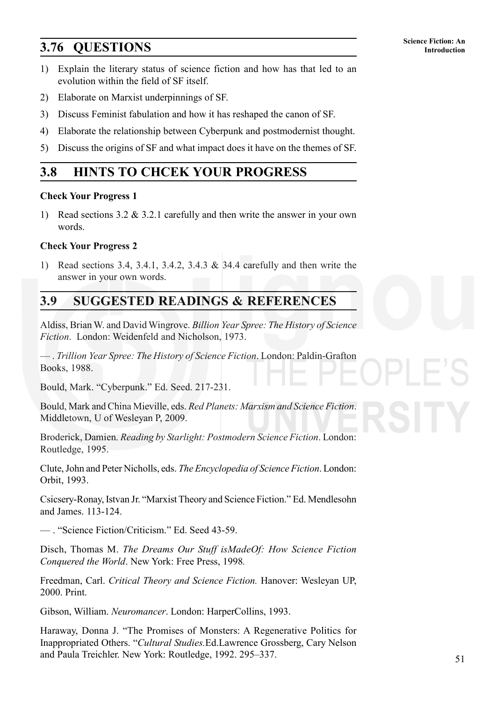# **Science Fiction: An 3.76 QUESTIONS Introduction**

- 1) Explain the literary status of science fiction and how has that led to an evolution within the field of SF itself.
- 2) Elaborate on Marxist underpinnings of SF.
- 3) Discuss Feminist fabulation and how it has reshaped the canon of SF.
- 4) Elaborate the relationship between Cyberpunk and postmodernist thought.
- 5) Discuss the origins of SF and what impact does it have on the themes of SF.

# **3.8 HINTS TO CHCEK YOUR PROGRESS**

#### **Check Your Progress 1**

1) Read sections 3.2 & 3.2.1 carefully and then write the answer in your own words.

#### **Check Your Progress 2**

1) Read sections 3.4, 3.4.1, 3.4.2, 3.4.3 & 34.4 carefully and then write the answer in your own words.

# **3.9 SUGGESTED READINGS & REFERENCES**

Aldiss, Brian W. and David Wingrove. *Billion Year Spree: The History of Science Fiction*. London: Weidenfeld and Nicholson, 1973.

— . *Trillion Year Spree: The History of Science Fiction*. London: Paldin-Grafton Books, 1988.

Bould, Mark. "Cyberpunk." Ed. Seed. 217-231.

Bould, Mark and China Mieville, eds. *Red Planets: Marxism and Science Fiction*. Middletown, U of Wesleyan P, 2009.

Broderick, Damien. *Reading by Starlight: Postmodern Science Fiction*. London: Routledge, 1995.

Clute, John and Peter Nicholls, eds. *The Encyclopedia of Science Fiction*. London: Orbit, 1993.

Csicsery-Ronay, Istvan Jr. "Marxist Theory and Science Fiction." Ed. Mendlesohn and James. 113-124.

— . "Science Fiction/Criticism." Ed. Seed 43-59.

Disch, Thomas M. *The Dreams Our Stuff isMadeOf: How Science Fiction Conquered the World*. New York: Free Press, 1998*.*

Freedman, Carl. *Critical Theory and Science Fiction.* Hanover: Wesleyan UP, 2000. Print.

Gibson, William. *Neuromancer*. London: HarperCollins, 1993.

Haraway, Donna J. "The Promises of Monsters: A Regenerative Politics for Inappropriated Others. "*Cultural Studies.*Ed.Lawrence Grossberg, Cary Nelson and Paula Treichler. New York: Routledge, 1992. 295–337.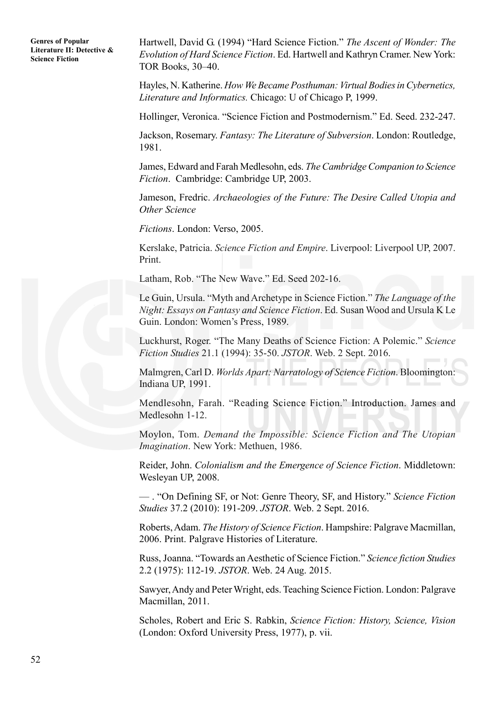**Genres of Popular Literature II: Detective & Science Fiction**

Hartwell, David G. (1994) "Hard Science Fiction." *The Ascent of Wonder: The Evolution of Hard Science Fiction*. Ed. Hartwell and Kathryn Cramer. New York: TOR Books, 30–40.

Hayles, N. Katherine. *How We Became Posthuman: Virtual Bodies in Cybernetics, Literature and Informatics.* Chicago: U of Chicago P, 1999.

Hollinger, Veronica. "Science Fiction and Postmodernism." Ed. Seed. 232-247.

Jackson, Rosemary. *Fantasy: The Literature of Subversion*. London: Routledge, 1981.

James, Edward and Farah Medlesohn, eds. *The Cambridge Companion to Science Fiction*. Cambridge: Cambridge UP, 2003.

Jameson, Fredric. *Archaeologies of the Future: The Desire Called Utopia and Other Science*

*Fictions*. London: Verso, 2005.

Kerslake, Patricia. *Science Fiction and Empire*. Liverpool: Liverpool UP, 2007. Print.

Latham, Rob. "The New Wave." Ed. Seed 202-16.

Le Guin, Ursula. "Myth and Archetype in Science Fiction." *The Language of the Night: Essays on Fantasy and Science Fiction*. Ed. Susan Wood and Ursula K Le Guin. London: Women's Press, 1989.

Luckhurst, Roger. "The Many Deaths of Science Fiction: A Polemic." *Science Fiction Studies* 21.1 (1994): 35-50. *JSTOR*. Web. 2 Sept. 2016.

Malmgren, Carl D. *Worlds Apart: Narratology of Science Fiction*. Bloomington: Indiana UP, 1991.

Mendlesohn, Farah. "Reading Science Fiction." Introduction. James and Medlesohn 1-12.

Moylon, Tom. *Demand the Impossible: Science Fiction and The Utopian Imagination*. New York: Methuen, 1986.

Reider, John. *Colonialism and the Emergence of Science Fiction*. Middletown: Wesleyan UP, 2008.

— . "On Defining SF, or Not: Genre Theory, SF, and History." *Science Fiction Studies* 37.2 (2010): 191-209. *JSTOR*. Web. 2 Sept. 2016.

Roberts, Adam. *The History of Science Fiction*. Hampshire: Palgrave Macmillan, 2006. Print. Palgrave Histories of Literature.

Russ, Joanna. "Towards an Aesthetic of Science Fiction." *Science fiction Studies* 2.2 (1975): 112-19. *JSTOR*. Web. 24 Aug. 2015.

Sawyer, Andy and Peter Wright, eds. Teaching Science Fiction. London: Palgrave Macmillan, 2011.

Scholes, Robert and Eric S. Rabkin, *Science Fiction: History, Science, Vision* (London: Oxford University Press, 1977), p. vii.